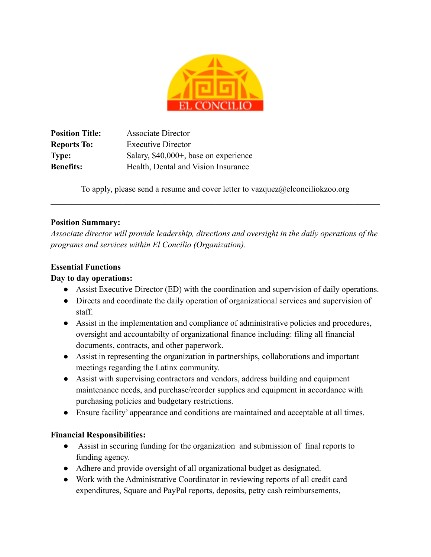

**Position Title:** Associate Director **Reports To:** Executive Director **Type:** Salary, \$40,000+, base on experience **Benefits:** Health, Dental and Vision Insurance

To apply, please send a resume and cover letter to vazquez@elconciliokzoo.org \_\_\_\_\_\_\_\_\_\_\_\_\_\_\_\_\_\_\_\_\_\_\_\_\_\_\_\_\_\_\_\_\_\_\_\_\_\_\_\_\_\_\_\_\_\_\_\_\_\_\_\_\_\_\_\_\_\_\_\_\_\_\_\_\_\_\_\_\_\_\_\_\_\_\_\_\_\_

### **Position Summary:**

*Associate director will provide leadership, directions and oversight in the daily operations of the programs and services within El Concilio (Organization)*.

## **Essential Functions**

## **Day to day operations:**

- Assist Executive Director (ED) with the coordination and supervision of daily operations.
- Directs and coordinate the daily operation of organizational services and supervision of staff.
- Assist in the implementation and compliance of administrative policies and procedures, oversight and accountabilty of organizational finance including: filing all financial documents, contracts, and other paperwork.
- Assist in representing the organization in partnerships, collaborations and important meetings regarding the Latinx community.
- Assist with supervising contractors and vendors, address building and equipment maintenance needs, and purchase/reorder supplies and equipment in accordance with purchasing policies and budgetary restrictions.
- Ensure facility' appearance and conditions are maintained and acceptable at all times.

### **Financial Responsibilities:**

- Assist in securing funding for the organization and submission of final reports to funding agency.
- Adhere and provide oversight of all organizational budget as designated.
- Work with the Administrative Coordinator in reviewing reports of all credit card expenditures, Square and PayPal reports, deposits, petty cash reimbursements,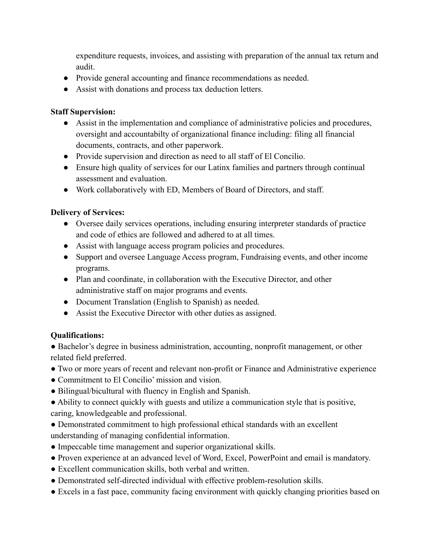expenditure requests, invoices, and assisting with preparation of the annual tax return and audit.

- Provide general accounting and finance recommendations as needed.
- Assist with donations and process tax deduction letters.

# **Staff Supervision:**

- Assist in the implementation and compliance of administrative policies and procedures, oversight and accountabilty of organizational finance including: filing all financial documents, contracts, and other paperwork.
- Provide supervision and direction as need to all staff of El Concilio.
- Ensure high quality of services for our Latinx families and partners through continual assessment and evaluation.
- Work collaboratively with ED, Members of Board of Directors, and staff.

# **Delivery of Services:**

- Oversee daily services operations, including ensuring interpreter standards of practice and code of ethics are followed and adhered to at all times.
- Assist with language access program policies and procedures.
- Support and oversee Language Access program, Fundraising events, and other income programs.
- Plan and coordinate, in collaboration with the Executive Director, and other administrative staff on major programs and events.
- Document Translation (English to Spanish) as needed.
- Assist the Executive Director with other duties as assigned.

# **Qualifications:**

• Bachelor's degree in business administration, accounting, nonprofit management, or other related field preferred.

- Two or more years of recent and relevant non-profit or Finance and Administrative experience
- Commitment to El Concilio' mission and vision.
- Bilingual/bicultural with fluency in English and Spanish.
- Ability to connect quickly with guests and utilize a communication style that is positive, caring, knowledgeable and professional.
- Demonstrated commitment to high professional ethical standards with an excellent understanding of managing confidential information.
- Impeccable time management and superior organizational skills.
- Proven experience at an advanced level of Word, Excel, PowerPoint and email is mandatory.
- Excellent communication skills, both verbal and written.
- Demonstrated self-directed individual with effective problem-resolution skills.
- Excels in a fast pace, community facing environment with quickly changing priorities based on